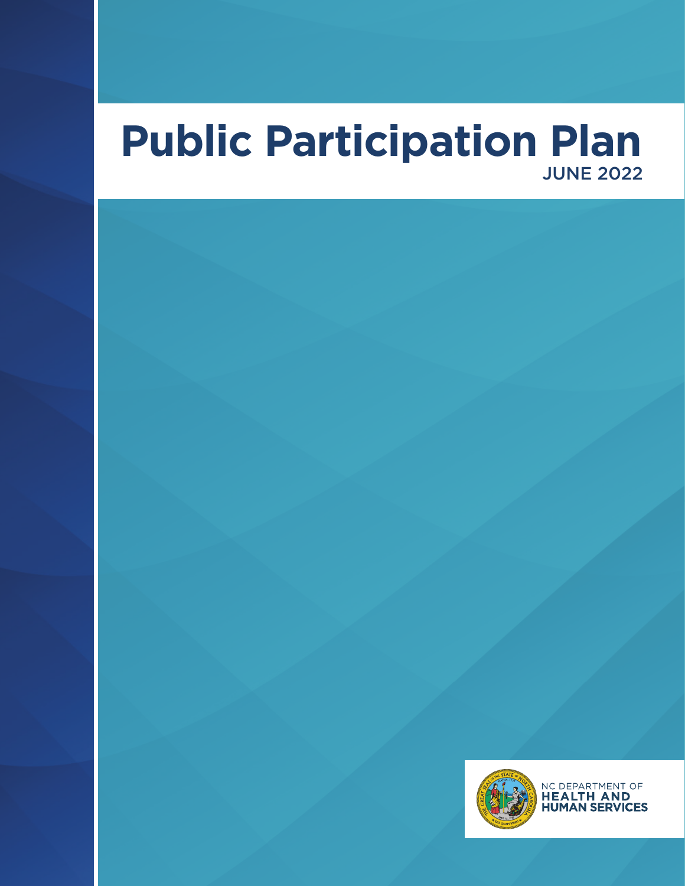# **Public Participation Plan** JUNE 2022

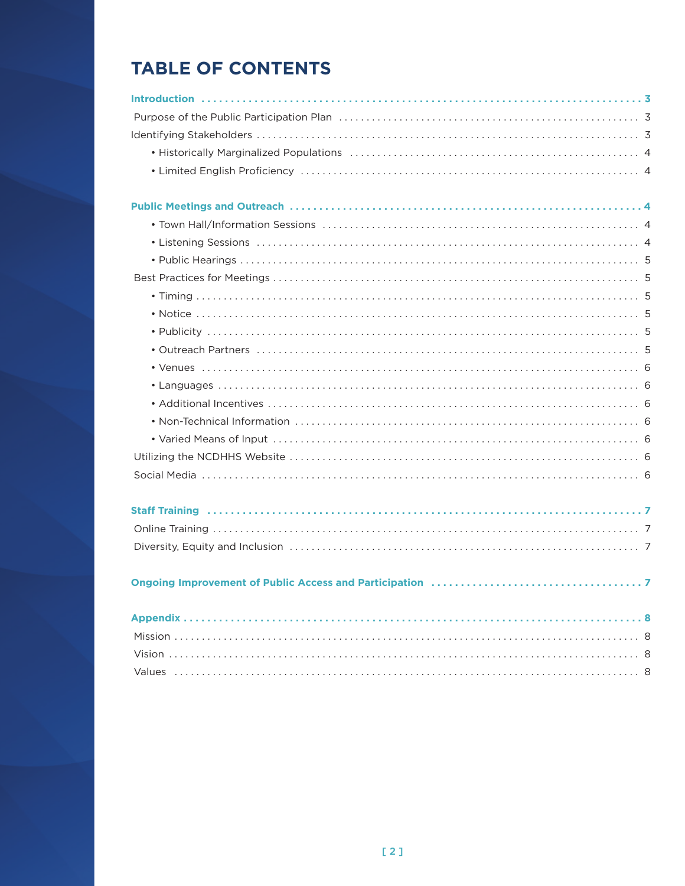## **TABLE OF CONTENTS**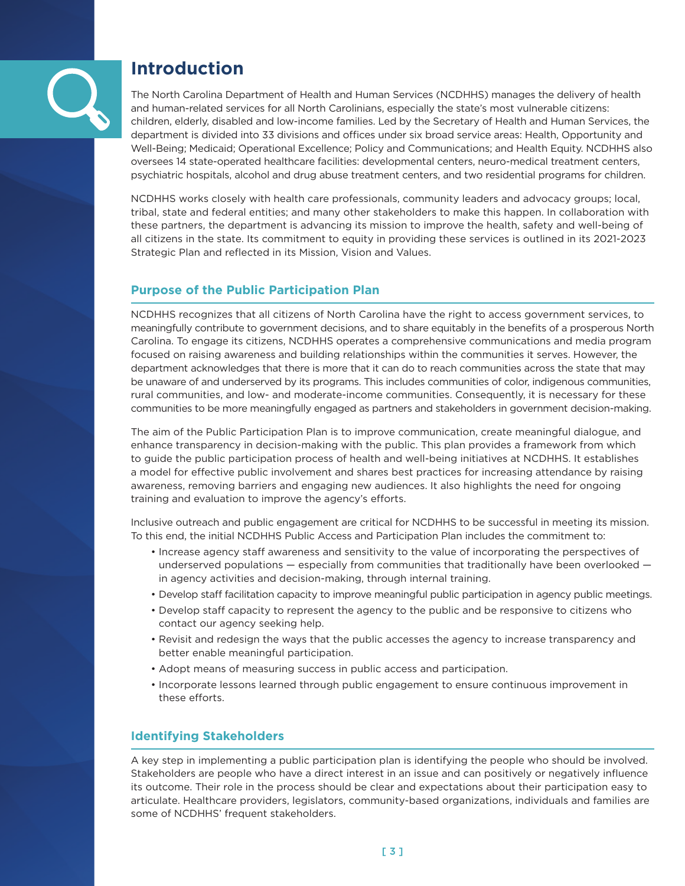<span id="page-2-0"></span>

## **Introduction**

The North Carolina Department of Health and Human Services (NCDHHS) manages the delivery of health and human-related services for all North Carolinians, especially the state's most vulnerable citizens: children, elderly, disabled and low-income families . Led by the Secretary of Health and Human Services, the department is divided into 33 divisions and offices under six broad service areas: Health, Opportunity and Well-Being; Medicaid; Operational Excellence; Policy and Communications; and Health Equity . NCDHHS also oversees 14 state-operated healthcare facilities: developmental centers, neuro-medical treatment centers, psychiatric hospitals, alcohol and drug abuse treatment centers, and two residential programs for children.

NCDHHS works closely with health care professionals, community leaders and advocacy groups; local, tribal, state and federal entities; and many other stakeholders to make this happen . In collaboration with these partners, the department is advancing its mission to improve the health, safety and well-being of all citizens in the state . Its commitment to equity in providing these services is outlined in its 2021-2023 Strategic Plan and reflected in its Mission, Vision and Values.

### **Purpose of the Public Participation Plan**

NCDHHS recognizes that all citizens of North Carolina have the right to access government services, to meaningfully contribute to government decisions, and to share equitably in the benefits of a prosperous North Carolina . To engage its citizens, NCDHHS operates a comprehensive communications and media program focused on raising awareness and building relationships within the communities it serves . However, the department acknowledges that there is more that it can do to reach communities across the state that may be unaware of and underserved by its programs . This includes communities of color, indigenous communities, rural communities, and low- and moderate-income communities . Consequently, it is necessary for these communities to be more meaningfully engaged as partners and stakeholders in government decision-making .

The aim of the Public Participation Plan is to improve communication, create meaningful dialogue, and enhance transparency in decision-making with the public. This plan provides a framework from which to guide the public participation process of health and well-being initiatives at NCDHHS . It establishes a model for effective public involvement and shares best practices for increasing attendance by raising awareness, removing barriers and engaging new audiences . It also highlights the need for ongoing training and evaluation to improve the agency's efforts.

Inclusive outreach and public engagement are critical for NCDHHS to be successful in meeting its mission . To this end, the initial NCDHHS Public Access and Participation Plan includes the commitment to:

- Increase agency staff awareness and sensitivity to the value of incorporating the perspectives of underserved populations — especially from communities that traditionally have been overlooked in agency activities and decision-making, through internal training.
- Develop staff facilitation capacity to improve meaningful public participation in agency public meetings .
- Develop staff capacity to represent the agency to the public and be responsive to citizens who contact our agency seeking help.
- Revisit and redesign the ways that the public accesses the agency to increase transparency and better enable meaningful participation.
- Adopt means of measuring success in public access and participation.
- Incorporate lessons learned through public engagement to ensure continuous improvement in these efforts.

### **Identifying Stakeholders**

A key step in implementing a public participation plan is identifying the people who should be involved . Stakeholders are people who have a direct interest in an issue and can positively or negatively influence its outcome . Their role in the process should be clear and expectations about their participation easy to articulate . Healthcare providers, legislators, community-based organizations, individuals and families are some of NCDHHS' frequent stakeholders.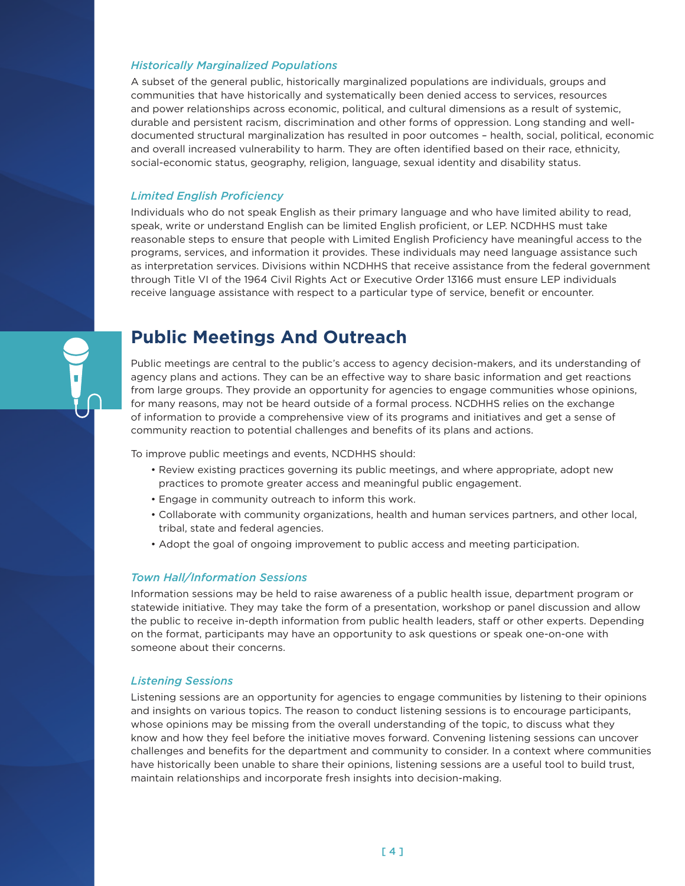#### <span id="page-3-0"></span>*Historically Marginalized Populations*

A subset of the general public, historically marginalized populations are individuals, groups and communities that have historically and systematically been denied access to services, resources and power relationships across economic, political, and cultural dimensions as a result of systemic, durable and persistent racism, discrimination and other forms of oppression . Long standing and welldocumented structural marginalization has resulted in poor outcomes – health, social, political, economic and overall increased vulnerability to harm. They are often identified based on their race, ethnicity, social-economic status, geography, religion, language, sexual identity and disability status .

#### *Limited English Proficiency*

Individuals who do not speak English as their primary language and who have limited ability to read, speak, write or understand English can be limited English proficient, or LEP. NCDHHS must take reasonable steps to ensure that people with Limited English Proficiency have meaningful access to the programs, services, and information it provides. These individuals may need language assistance such as interpretation services . Divisions within NCDHHS that receive assistance from the federal government through Title VI of the 1964 Civil Rights Act or Executive Order 13166 must ensure LEP individuals receive language assistance with respect to a particular type of service, benefit or encounter.

## **Public Meetings And Outreach**

Public meetings are central to the public's access to agency decision-makers, and its understanding of agency plans and actions. They can be an effective way to share basic information and get reactions from large groups. They provide an opportunity for agencies to engage communities whose opinions, for many reasons, may not be heard outside of a formal process . NCDHHS relies on the exchange of information to provide a comprehensive view of its programs and initiatives and get a sense of community reaction to potential challenges and benefits of its plans and actions .

To improve public meetings and events, NCDHHS should:

- Review existing practices governing its public meetings, and where appropriate, adopt new practices to promote greater access and meaningful public engagement.
- Engage in community outreach to inform this work .
- Collaborate with community organizations, health and human services partners, and other local, tribal, state and federal agencies.
- Adopt the goal of ongoing improvement to public access and meeting participation .

#### *Town Hall/Information Sessions*

Information sessions may be held to raise awareness of a public health issue, department program or statewide initiative . They may take the form of a presentation, workshop or panel discussion and allow the public to receive in-depth information from public health leaders, staff or other experts . Depending on the format, participants may have an opportunity to ask questions or speak one-on-one with someone about their concerns.

#### *Listening Sessions*

Listening sessions are an opportunity for agencies to engage communities by listening to their opinions and insights on various topics . The reason to conduct listening sessions is to encourage participants, whose opinions may be missing from the overall understanding of the topic, to discuss what they know and how they feel before the initiative moves forward . Convening listening sessions can uncover challenges and benefits for the department and community to consider . In a context where communities have historically been unable to share their opinions, listening sessions are a useful tool to build trust, maintain relationships and incorporate fresh insights into decision-making .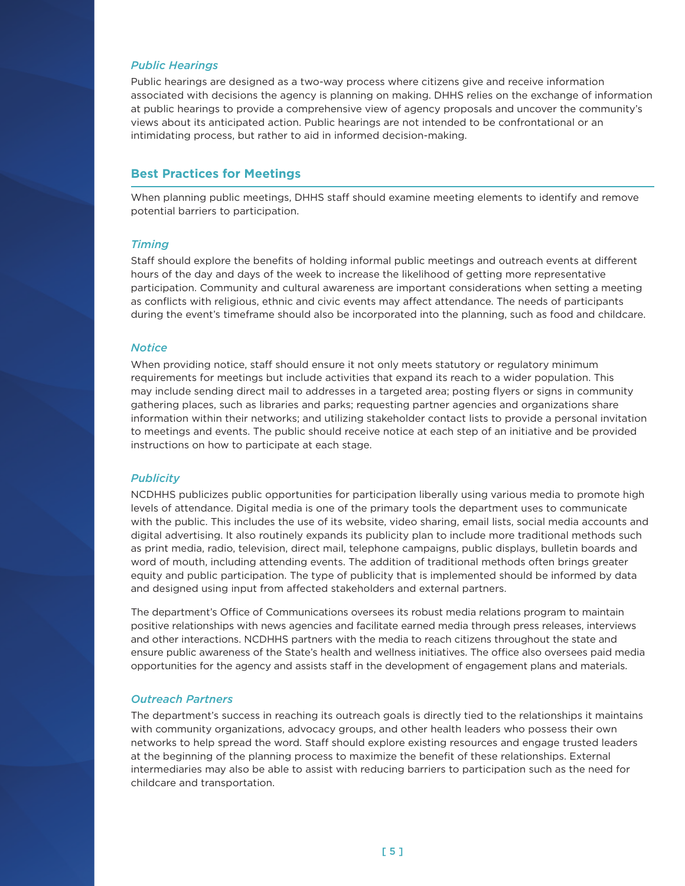#### <span id="page-4-0"></span>*Public Hearings*

Public hearings are designed as a two-way process where citizens give and receive information associated with decisions the agency is planning on making. DHHS relies on the exchange of information at public hearings to provide a comprehensive view of agency proposals and uncover the community's views about its anticipated action. Public hearings are not intended to be confrontational or an intimidating process, but rather to aid in informed decision-making.

#### **Best Practices for Meetings**

When planning public meetings, DHHS staff should examine meeting elements to identify and remove potential barriers to participation.

#### *Timing*

Staff should explore the benefits of holding informal public meetings and outreach events at different hours of the day and days of the week to increase the likelihood of getting more representative participation. Community and cultural awareness are important considerations when setting a meeting as conflicts with religious, ethnic and civic events may affect attendance . The needs of participants during the event's timeframe should also be incorporated into the planning, such as food and childcare.

#### *Notice*

When providing notice, staff should ensure it not only meets statutory or regulatory minimum requirements for meetings but include activities that expand its reach to a wider population . This may include sending direct mail to addresses in a targeted area; posting flyers or signs in community gathering places, such as libraries and parks; requesting partner agencies and organizations share information within their networks; and utilizing stakeholder contact lists to provide a personal invitation to meetings and events. The public should receive notice at each step of an initiative and be provided instructions on how to participate at each stage.

#### *Publicity*

NCDHHS publicizes public opportunities for participation liberally using various media to promote high levels of attendance . Digital media is one of the primary tools the department uses to communicate with the public. This includes the use of its website, video sharing, email lists, social media accounts and digital advertising . It also routinely expands its publicity plan to include more traditional methods such as print media, radio, television, direct mail, telephone campaigns, public displays, bulletin boards and word of mouth, including attending events . The addition of traditional methods often brings greater equity and public participation. The type of publicity that is implemented should be informed by data and designed using input from affected stakeholders and external partners.

The department's Office of Communications oversees its robust media relations program to maintain positive relationships with news agencies and facilitate earned media through press releases, interviews and other interactions . NCDHHS partners with the media to reach citizens throughout the state and ensure public awareness of the State's health and wellness initiatives . The office also oversees paid media opportunities for the agency and assists staff in the development of engagement plans and materials .

#### *Outreach Partners*

The department's success in reaching its outreach goals is directly tied to the relationships it maintains with community organizations, advocacy groups, and other health leaders who possess their own networks to help spread the word. Staff should explore existing resources and engage trusted leaders at the beginning of the planning process to maximize the benefit of these relationships . External intermediaries may also be able to assist with reducing barriers to participation such as the need for childcare and transportation.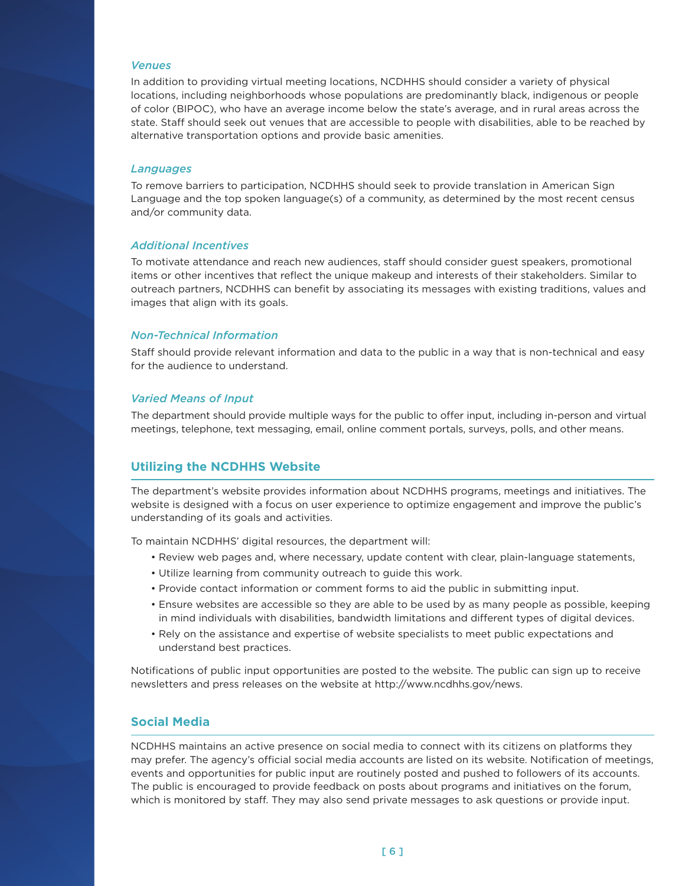#### <span id="page-5-0"></span>*Venues*

In addition to providing virtual meeting locations, NCDHHS should consider a variety of physical locations, including neighborhoods whose populations are predominantly black, indigenous or people of color (BIPOC), who have an average income below the state's average, and in rural areas across the state. Staff should seek out venues that are accessible to people with disabilities, able to be reached by alternative transportation options and provide basic amenities.

#### *Languages*

To remove barriers to participation, NCDHHS should seek to provide translation in American Sign Language and the top spoken language(s) of a community, as determined by the most recent census and/or community data.

#### *Additional Incentives*

To motivate attendance and reach new audiences, staff should consider guest speakers, promotional items or other incentives that reflect the unique makeup and interests of their stakeholders. Similar to outreach partners, NCDHHS can benefit by associating its messages with existing traditions, values and images that align with its goals.

#### *Non-Technical Information*

Staff should provide relevant information and data to the public in a way that is non-technical and easy for the audience to understand.

#### *Varied Means of Input*

The department should provide multiple ways for the public to offer input, including in-person and virtual meetings, telephone, text messaging, email, online comment portals, surveys, polls, and other means .

#### **Utilizing the NCDHHS Website**

The department's website provides information about NCDHHS programs, meetings and initiatives . The website is designed with a focus on user experience to optimize engagement and improve the public's understanding of its goals and activities.

To maintain NCDHHS' digital resources, the department will:

- Review web pages and, where necessary, update content with clear, plain-language statements,
- Utilize learning from community outreach to guide this work .
- Provide contact information or comment forms to aid the public in submitting input .
- Ensure websites are accessible so they are able to be used by as many people as possible, keeping in mind individuals with disabilities, bandwidth limitations and different types of digital devices .
- Rely on the assistance and expertise of website specialists to meet public expectations and understand best practices .

Notifications of public input opportunities are posted to the website . The public can sign up to receive newsletters and press releases on the website at [http://www .ncdhhs .gov/news .](http://www.ncdhhs.gov/news)

### **Social Media**

NCDHHS maintains an active presence on social media to connect with its citizens on platforms they may prefer . The agency's official social media accounts are listed on its website . Notification of meetings, events and opportunities for public input are routinely posted and pushed to followers of its accounts. The public is encouraged to provide feedback on posts about programs and initiatives on the forum, which is monitored by staff. They may also send private messages to ask questions or provide input.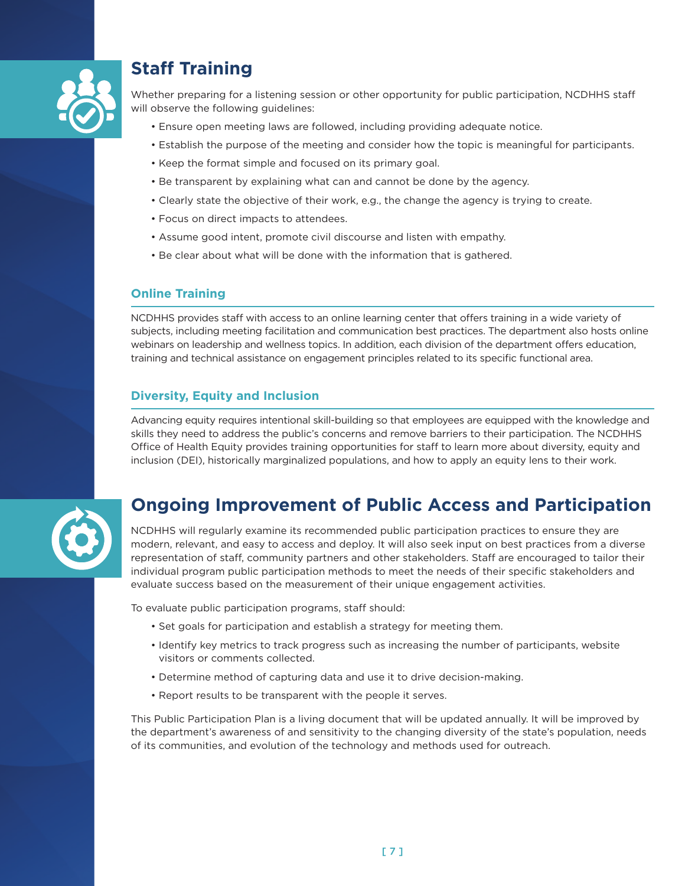<span id="page-6-0"></span>

## **Staff Training**

Whether preparing for a listening session or other opportunity for public participation, NCDHHS staff will observe the following guidelines:

- Ensure open meeting laws are followed, including providing adequate notice .
- Establish the purpose of the meeting and consider how the topic is meaningful for participants .
- Keep the format simple and focused on its primary goal .
- Be transparent by explaining what can and cannot be done by the agency .
- Clearly state the objective of their work, e.g., the change the agency is trying to create.
- Focus on direct impacts to attendees .
- Assume good intent, promote civil discourse and listen with empathy .
- Be clear about what will be done with the information that is gathered .

### **Online Training**

NCDHHS provides staff with access to an online learning center that offers training in a wide variety of subjects, including meeting facilitation and communication best practices . The department also hosts online webinars on leadership and wellness topics . In addition, each division of the department offers education, training and technical assistance on engagement principles related to its specific functional area .

### **Diversity, Equity and Inclusion**

Advancing equity requires intentional skill-building so that employees are equipped with the knowledge and skills they need to address the public's concerns and remove barriers to their participation . The NCDHHS Office of Health Equity provides training opportunities for staff to learn more about diversity, equity and inclusion (DEI), historically marginalized populations, and how to apply an equity lens to their work .



## **Ongoing Improvement of Public Access and Participation**

NCDHHS will regularly examine its recommended public participation practices to ensure they are modern, relevant, and easy to access and deploy . It will also seek input on best practices from a diverse representation of staff, community partners and other stakeholders. Staff are encouraged to tailor their individual program public participation methods to meet the needs of their specific stakeholders and evaluate success based on the measurement of their unique engagement activities.

To evaluate public participation programs, staff should:

- Set goals for participation and establish a strategy for meeting them .
- Identify key metrics to track progress such as increasing the number of participants, website visitors or comments collected.
- Determine method of capturing data and use it to drive decision-making .
- Report results to be transparent with the people it serves .

This Public Participation Plan is a living document that will be updated annually . It will be improved by the department's awareness of and sensitivity to the changing diversity of the state's population, needs of its communities, and evolution of the technology and methods used for outreach .